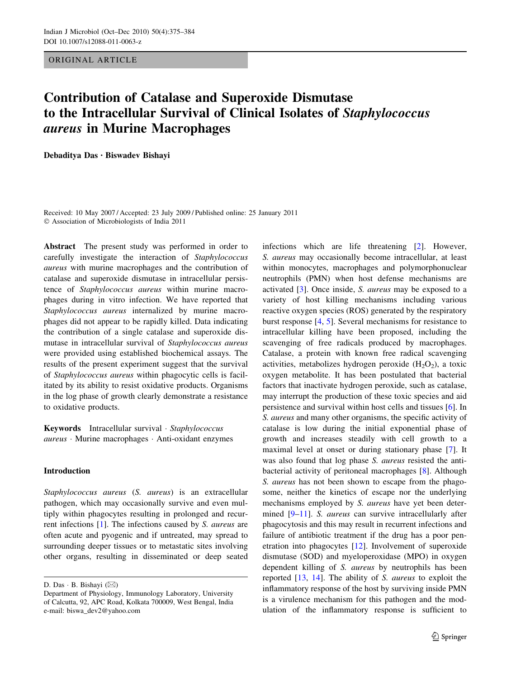ORIGINAL ARTICLE

# Contribution of Catalase and Superoxide Dismutase to the Intracellular Survival of Clinical Isolates of Staphylococcus aureus in Murine Macrophages

Debaditya Das • Biswadev Bishayi

Received: 10 May 2007 / Accepted: 23 July 2009 / Published online: 25 January 2011 - Association of Microbiologists of India 2011

Abstract The present study was performed in order to carefully investigate the interaction of Staphylococcus aureus with murine macrophages and the contribution of catalase and superoxide dismutase in intracellular persistence of Staphylococcus aureus within murine macrophages during in vitro infection. We have reported that Staphylococcus aureus internalized by murine macrophages did not appear to be rapidly killed. Data indicating the contribution of a single catalase and superoxide dismutase in intracellular survival of Staphylococcus aureus were provided using established biochemical assays. The results of the present experiment suggest that the survival of Staphylococcus aureus within phagocytic cells is facilitated by its ability to resist oxidative products. Organisms in the log phase of growth clearly demonstrate a resistance to oxidative products.

Keywords Intracellular survival · Staphylococcus aureus · Murine macrophages · Anti-oxidant enzymes

# Introduction

Staphylococcus aureus (S. aureus) is an extracellular pathogen, which may occasionally survive and even multiply within phagocytes resulting in prolonged and recurrent infections [\[1](#page-8-0)]. The infections caused by S. aureus are often acute and pyogenic and if untreated, may spread to surrounding deeper tissues or to metastatic sites involving other organs, resulting in disseminated or deep seated

D. Das ⋅ B. Bishayi (⊠)

infections which are life threatening [[2\]](#page-8-0). However, S. aureus may occasionally become intracellular, at least within monocytes, macrophages and polymorphonuclear neutrophils (PMN) when host defense mechanisms are activated [\[3](#page-8-0)]. Once inside, S. aureus may be exposed to a variety of host killing mechanisms including various reactive oxygen species (ROS) generated by the respiratory burst response [\[4](#page-8-0), [5\]](#page-8-0). Several mechanisms for resistance to intracellular killing have been proposed, including the scavenging of free radicals produced by macrophages. Catalase, a protein with known free radical scavenging activities, metabolizes hydrogen peroxide  $(H_2O_2)$ , a toxic oxygen metabolite. It has been postulated that bacterial factors that inactivate hydrogen peroxide, such as catalase, may interrupt the production of these toxic species and aid persistence and survival within host cells and tissues [[6\]](#page-8-0). In S. aureus and many other organisms, the specific activity of catalase is low during the initial exponential phase of growth and increases steadily with cell growth to a maximal level at onset or during stationary phase [\[7](#page-8-0)]. It was also found that log phase *S. aureus* resisted the antibacterial activity of peritoneal macrophages [\[8](#page-8-0)]. Although S. aureus has not been shown to escape from the phagosome, neither the kinetics of escape nor the underlying mechanisms employed by S. aureus have yet been deter-mined [[9–11\]](#page-8-0). S. *aureus* can survive intracellularly after phagocytosis and this may result in recurrent infections and failure of antibiotic treatment if the drug has a poor penetration into phagocytes [\[12](#page-8-0)]. Involvement of superoxide dismutase (SOD) and myeloperoxidase (MPO) in oxygen dependent killing of S. aureus by neutrophils has been reported [[13,](#page-8-0) [14](#page-8-0)]. The ability of S. aureus to exploit the inflammatory response of the host by surviving inside PMN is a virulence mechanism for this pathogen and the modulation of the inflammatory response is sufficient to

Department of Physiology, Immunology Laboratory, University of Calcutta, 92, APC Road, Kolkata 700009, West Bengal, India e-mail: biswa\_dev2@yahoo.com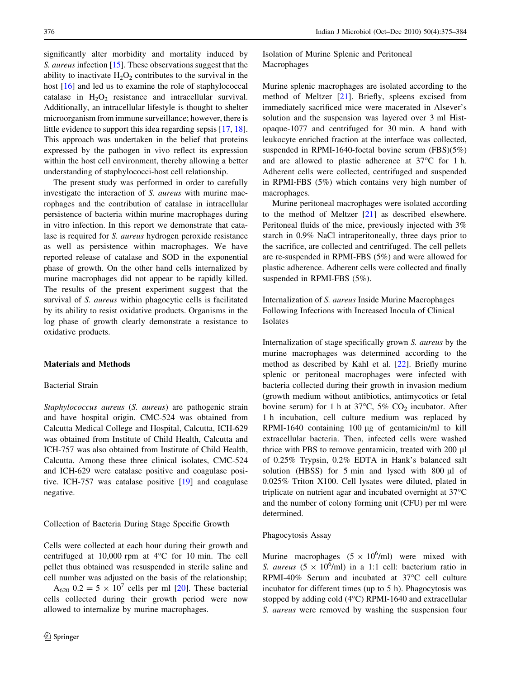significantly alter morbidity and mortality induced by S. *aureus* infection [[15\]](#page-8-0). These observations suggest that the ability to inactivate  $H_2O_2$  contributes to the survival in the host [\[16](#page-9-0)] and led us to examine the role of staphylococcal catalase in  $H_2O_2$  resistance and intracellular survival. Additionally, an intracellular lifestyle is thought to shelter microorganism from immune surveillance; however, there is little evidence to support this idea regarding sepsis [[17](#page-9-0), [18](#page-9-0)]. This approach was undertaken in the belief that proteins expressed by the pathogen in vivo reflect its expression within the host cell environment, thereby allowing a better understanding of staphylococci-host cell relationship.

The present study was performed in order to carefully investigate the interaction of S. aureus with murine macrophages and the contribution of catalase in intracellular persistence of bacteria within murine macrophages during in vitro infection. In this report we demonstrate that catalase is required for S. aureus hydrogen peroxide resistance as well as persistence within macrophages. We have reported release of catalase and SOD in the exponential phase of growth. On the other hand cells internalized by murine macrophages did not appear to be rapidly killed. The results of the present experiment suggest that the survival of S. *aureus* within phagocytic cells is facilitated by its ability to resist oxidative products. Organisms in the log phase of growth clearly demonstrate a resistance to oxidative products.

#### Materials and Methods

### Bacterial Strain

Staphylococcus aureus (S. aureus) are pathogenic strain and have hospital origin. CMC-524 was obtained from Calcutta Medical College and Hospital, Calcutta, ICH-629 was obtained from Institute of Child Health, Calcutta and ICH-757 was also obtained from Institute of Child Health, Calcutta. Among these three clinical isolates, CMC-524 and ICH-629 were catalase positive and coagulase positive. ICH-757 was catalase positive [[19\]](#page-9-0) and coagulase negative.

Collection of Bacteria During Stage Specific Growth

Cells were collected at each hour during their growth and centrifuged at  $10,000$  rpm at  $4^{\circ}$ C for 10 min. The cell pellet thus obtained was resuspended in sterile saline and cell number was adjusted on the basis of the relationship;

 $A_{620}$   $0.2 = 5 \times 10^7$  cells per ml [[20\]](#page-9-0). These bacterial cells collected during their growth period were now allowed to internalize by murine macrophages.

Isolation of Murine Splenic and Peritoneal Macrophages

Murine splenic macrophages are isolated according to the method of Meltzer [\[21](#page-9-0)]. Briefly, spleens excised from immediately sacrificed mice were macerated in Alsever's solution and the suspension was layered over 3 ml Histopaque-1077 and centrifuged for 30 min. A band with leukocyte enriched fraction at the interface was collected, suspended in RPMI-1640-foetal bovine serum (FBS)(5%) and are allowed to plastic adherence at  $37^{\circ}$ C for 1 h. Adherent cells were collected, centrifuged and suspended in RPMI-FBS (5%) which contains very high number of macrophages.

Murine peritoneal macrophages were isolated according to the method of Meltzer [[21\]](#page-9-0) as described elsewhere. Peritoneal fluids of the mice, previously injected with 3% starch in 0.9% NaCl intraperitoneally, three days prior to the sacrifice, are collected and centrifuged. The cell pellets are re-suspended in RPMI-FBS (5%) and were allowed for plastic adherence. Adherent cells were collected and finally suspended in RPMI-FBS (5%).

Internalization of S. aureus Inside Murine Macrophages Following Infections with Increased Inocula of Clinical Isolates

Internalization of stage specifically grown S. aureus by the murine macrophages was determined according to the method as described by Kahl et al. [[22](#page-9-0)]. Briefly murine splenic or peritoneal macrophages were infected with bacteria collected during their growth in invasion medium (growth medium without antibiotics, antimycotics or fetal bovine serum) for 1 h at  $37^{\circ}$ C,  $5\%$  CO<sub>2</sub> incubator. After 1 h incubation, cell culture medium was replaced by RPMI-1640 containing 100  $\mu$ g of gentamicin/ml to kill extracellular bacteria. Then, infected cells were washed thrice with PBS to remove gentamicin, treated with 200 µl of 0.25% Trypsin, 0.2% EDTA in Hank's balanced salt solution (HBSS) for 5 min and lysed with 800  $\mu$ l of 0.025% Triton X100. Cell lysates were diluted, plated in triplicate on nutrient agar and incubated overnight at 37°C and the number of colony forming unit (CFU) per ml were determined.

#### Phagocytosis Assay

Murine macrophages  $(5 \times 10^6/\text{ml})$  were mixed with S. aureus  $(5 \times 10^6$ /ml) in a 1:1 cell: bacterium ratio in RPMI-40% Serum and incubated at  $37^{\circ}$ C cell culture incubator for different times (up to 5 h). Phagocytosis was stopped by adding cold  $(4^{\circ}C)$  RPMI-1640 and extracellular S. aureus were removed by washing the suspension four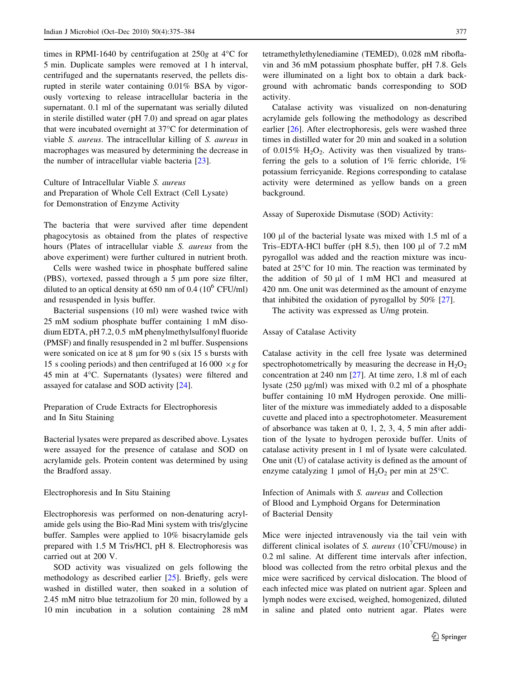times in RPMI-1640 by centrifugation at  $250g$  at 4<sup>o</sup>C for 5 min. Duplicate samples were removed at 1 h interval, centrifuged and the supernatants reserved, the pellets disrupted in sterile water containing 0.01% BSA by vigorously vortexing to release intracellular bacteria in the supernatant. 0.1 ml of the supernatant was serially diluted in sterile distilled water (pH 7.0) and spread on agar plates that were incubated overnight at  $37^{\circ}$ C for determination of viable S. aureus. The intracellular killing of S. aureus in macrophages was measured by determining the decrease in the number of intracellular viable bacteria [\[23](#page-9-0)].

Culture of Intracellular Viable S. aureus and Preparation of Whole Cell Extract (Cell Lysate) for Demonstration of Enzyme Activity

The bacteria that were survived after time dependent phagocytosis as obtained from the plates of respective hours (Plates of intracellular viable S. aureus from the above experiment) were further cultured in nutrient broth.

Cells were washed twice in phosphate buffered saline (PBS), vortexed, passed through a  $5 \mu m$  pore size filter, diluted to an optical density at  $650 \text{ nm}$  of  $0.4 \cdot (10^6 \text{ CFU/ml})$ and resuspended in lysis buffer.

Bacterial suspensions (10 ml) were washed twice with 25 mM sodium phosphate buffer containing 1 mM disodium EDTA, pH 7.2, 0.5 mM phenylmethylsulfonyl fluoride (PMSF) and finally resuspended in 2 ml buffer. Suspensions were sonicated on ice at  $8 \mu m$  for  $90 \text{ s}$  (six 15 s bursts with 15 s cooling periods) and then centrifuged at 16 000  $\times g$  for 45 min at  $4^{\circ}$ C. Supernatants (lysates) were filtered and assayed for catalase and SOD activity [[24\]](#page-9-0).

Preparation of Crude Extracts for Electrophoresis and In Situ Staining

Bacterial lysates were prepared as described above. Lysates were assayed for the presence of catalase and SOD on acrylamide gels. Protein content was determined by using the Bradford assay.

#### Electrophoresis and In Situ Staining

Electrophoresis was performed on non-denaturing acrylamide gels using the Bio-Rad Mini system with tris/glycine buffer. Samples were applied to 10% bisacrylamide gels prepared with 1.5 M Tris/HCl, pH 8. Electrophoresis was carried out at 200 V.

SOD activity was visualized on gels following the methodology as described earlier [[25\]](#page-9-0). Briefly, gels were washed in distilled water, then soaked in a solution of 2.45 mM nitro blue tetrazolium for 20 min, followed by a 10 min incubation in a solution containing 28 mM

tetramethylethylenediamine (TEMED), 0.028 mM riboflavin and 36 mM potassium phosphate buffer, pH 7.8. Gels were illuminated on a light box to obtain a dark background with achromatic bands corresponding to SOD activity.

Catalase activity was visualized on non-denaturing acrylamide gels following the methodology as described earlier [[26](#page-9-0)]. After electrophoresis, gels were washed three times in distilled water for 20 min and soaked in a solution of 0.015%  $H_2O_2$ . Activity was then visualized by transferring the gels to a solution of  $1\%$  ferric chloride,  $1\%$ potassium ferricyanide. Regions corresponding to catalase activity were determined as yellow bands on a green background.

Assay of Superoxide Dismutase (SOD) Activity:

100 µl of the bacterial lysate was mixed with 1.5 ml of a Tris–EDTA-HCl buffer (pH  $8.5$ ), then 100 µl of 7.2 mM pyrogallol was added and the reaction mixture was incubated at  $25^{\circ}$ C for 10 min. The reaction was terminated by the addition of 50 µl of 1 mM HCl and measured at 420 nm. One unit was determined as the amount of enzyme that inhibited the oxidation of pyrogallol by 50% [[27\]](#page-9-0).

The activity was expressed as U/mg protein.

#### Assay of Catalase Activity

Catalase activity in the cell free lysate was determined spectrophotometrically by measuring the decrease in  $H_2O_2$ concentration at 240 nm [[27\]](#page-9-0). At time zero, 1.8 ml of each lysate  $(250 \mu g/ml)$  was mixed with 0.2 ml of a phosphate buffer containing 10 mM Hydrogen peroxide. One milliliter of the mixture was immediately added to a disposable cuvette and placed into a spectrophotometer. Measurement of absorbance was taken at 0, 1, 2, 3, 4, 5 min after addition of the lysate to hydrogen peroxide buffer. Units of catalase activity present in 1 ml of lysate were calculated. One unit (U) of catalase activity is defined as the amount of enzyme catalyzing 1 µmol of  $H_2O_2$  per min at 25°C.

Infection of Animals with S. aureus and Collection of Blood and Lymphoid Organs for Determination of Bacterial Density

Mice were injected intravenously via the tail vein with different clinical isolates of S. aureus  $(10^7$ CFU/mouse) in 0.2 ml saline. At different time intervals after infection, blood was collected from the retro orbital plexus and the mice were sacrificed by cervical dislocation. The blood of each infected mice was plated on nutrient agar. Spleen and lymph nodes were excised, weighed, homogenized, diluted in saline and plated onto nutrient agar. Plates were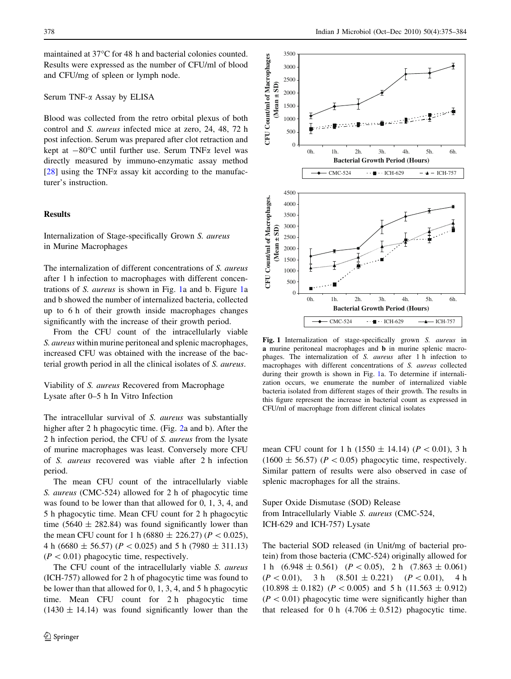maintained at 37°C for 48 h and bacterial colonies counted. Results were expressed as the number of CFU/ml of blood and CFU/mg of spleen or lymph node.

# Serum TNF-a Assay by ELISA

Blood was collected from the retro orbital plexus of both control and S. aureus infected mice at zero, 24, 48, 72 h post infection. Serum was prepared after clot retraction and kept at  $-80^{\circ}$ C until further use. Serum TNF $\alpha$  level was directly measured by immuno-enzymatic assay method [\[28](#page-9-0)] using the TNF $\alpha$  assay kit according to the manufacturer's instruction.

# **Results**

Internalization of Stage-specifically Grown S. aureus in Murine Macrophages

The internalization of different concentrations of S. aureus after 1 h infection to macrophages with different concentrations of S. aureus is shown in Fig. 1a and b. Figure 1a and b showed the number of internalized bacteria, collected up to 6 h of their growth inside macrophages changes significantly with the increase of their growth period.

From the CFU count of the intracellularly viable S. aureus within murine peritoneal and splenic macrophages, increased CFU was obtained with the increase of the bacterial growth period in all the clinical isolates of S. aureus.

Viability of S. aureus Recovered from Macrophage Lysate after 0–5 h In Vitro Infection

The intracellular survival of S. *aureus* was substantially higher after 2 h phagocytic time. (Fig. [2](#page-4-0)a and b). After the 2 h infection period, the CFU of S. aureus from the lysate of murine macrophages was least. Conversely more CFU of S. aureus recovered was viable after 2 h infection period.

The mean CFU count of the intracellularly viable S. aureus (CMC-524) allowed for 2 h of phagocytic time was found to be lower than that allowed for 0, 1, 3, 4, and 5 h phagocytic time. Mean CFU count for 2 h phagocytic time (5640  $\pm$  282.84) was found significantly lower than the mean CFU count for 1 h (6880  $\pm$  226.27) ( $P < 0.025$ ), 4 h (6680  $\pm$  56.57) (P < 0.025) and 5 h (7980  $\pm$  311.13)  $(P < 0.01)$  phagocytic time, respectively.

The CFU count of the intracellularly viable S. aureus (ICH-757) allowed for 2 h of phagocytic time was found to be lower than that allowed for 0, 1, 3, 4, and 5 h phagocytic time. Mean CFU count for 2 h phagocytic time  $(1430 \pm 14.14)$  was found significantly lower than the



Fig. 1 Internalization of stage-specifically grown S. aureus in a murine peritoneal macrophages and b in murine splenic macrophages. The internalization of S. aureus after 1 h infection to macrophages with different concentrations of S. aureus collected during their growth is shown in Fig. 1a. To determine if internalization occurs, we enumerate the number of internalized viable bacteria isolated from different stages of their growth. The results in this figure represent the increase in bacterial count as expressed in CFU/ml of macrophage from different clinical isolates

mean CFU count for 1 h (1550  $\pm$  14.14) ( $P < 0.01$ ), 3 h  $(1600 \pm 56.57)$   $(P < 0.05)$  phagocytic time, respectively. Similar pattern of results were also observed in case of splenic macrophages for all the strains.

Super Oxide Dismutase (SOD) Release from Intracellularly Viable S. aureus (CMC-524, ICH-629 and ICH-757) Lysate

The bacterial SOD released (in Unit/mg of bacterial protein) from those bacteria (CMC-524) originally allowed for 1 h  $(6.948 \pm 0.561)$   $(P < 0.05)$ , 2 h  $(7.863 \pm 0.061)$  $(P<0.01)$ , 3 h  $(8.501 \pm 0.221)$   $(P<0.01)$ , 4 h  $(10.898 \pm 0.182)$  ( $P < 0.005$ ) and 5 h (11.563  $\pm$  0.912)  $(P<0.01)$  phagocytic time were significantly higher than that released for 0 h  $(4.706 \pm 0.512)$  phagocytic time.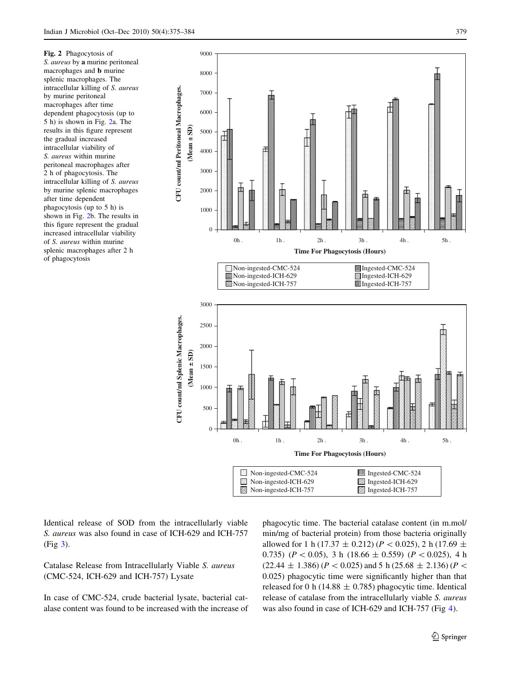<span id="page-4-0"></span>Fig. 2 Phagocytosis of S. aureus by a murine peritoneal macrophages and b murine splenic macrophages. The intracellular killing of S. aureus by murine peritoneal macrophages after time dependent phagocytosis (up to 5 h) is shown in Fig. 2a. The results in this figure represent the gradual increased intracellular viability of S. aureus within murine peritoneal macrophages after 2 h of phagocytosis. The intracellular killing of S. aureus by murine splenic macrophages after time dependent phagocytosis (up to 5 h) is shown in Fig. 2b. The results in this figure represent the gradual increased intracellular viability of S. aureus within murine splenic macrophages after 2 h of phagocytosis



Identical release of SOD from the intracellularly viable S. aureus was also found in case of ICH-629 and ICH-757 (Fig [3\)](#page-5-0).

# Catalase Release from Intracellularly Viable S. aureus (CMC-524, ICH-629 and ICH-757) Lysate

In case of CMC-524, crude bacterial lysate, bacterial catalase content was found to be increased with the increase of phagocytic time. The bacterial catalase content (in m.mol/ min/mg of bacterial protein) from those bacteria originally allowed for 1 h (17.37  $\pm$  0.212) (P < 0.025), 2 h (17.69  $\pm$ 0.735) ( $P < 0.05$ ), 3 h (18.66  $\pm$  0.559) ( $P < 0.025$ ), 4 h  $(22.44 \pm 1.386)$  ( $P < 0.025$ ) and 5 h (25.68  $\pm$  2.136) ( $P <$ 0.025) phagocytic time were significantly higher than that released for 0 h (14.88  $\pm$  0.785) phagocytic time. Identical release of catalase from the intracellularly viable S. aureus was also found in case of ICH-629 and ICH-757 (Fig [4](#page-5-0)).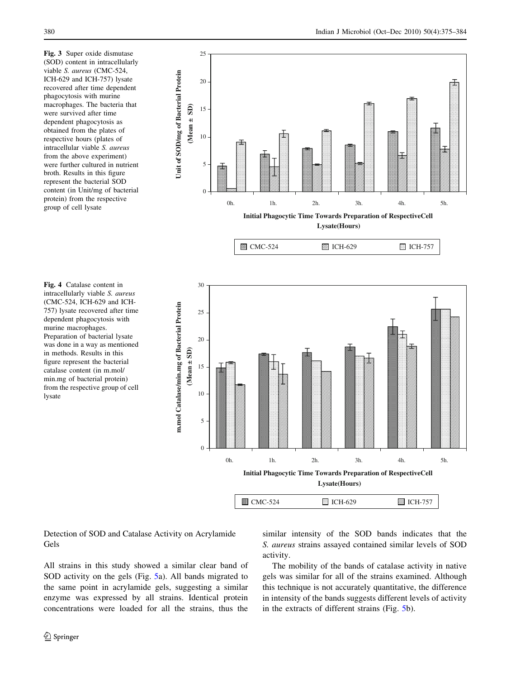<span id="page-5-0"></span>Fig. 3 Super oxide dismutase (SOD) content in intracellularly viable S. aureus (CMC-524, ICH-629 and ICH-757) lysate recovered after time dependent phagocytosis with murine macrophages. The bacteria that were survived after time dependent phagocytosis as obtained from the plates of respective hours (plates of intracellular viable S. aureus from the above experiment) were further cultured in nutrient broth. Results in this figure represent the bacterial SOD content (in Unit/mg of bacterial protein) from the respective group of cell lysate



(CMC-524, ICH-629 and ICH-757) lysate recovered after time dependent phagocytosis with murine macrophages. Preparation of bacterial lysate was done in a way as mentioned in methods. Results in this figure represent the bacterial catalase content (in m.mol/ min.mg of bacterial protein) from the respective group of cell lysate

Fig. 4 Catalase content in intracellularly viable S. aureus

**Initial Phagocytic Time Towards Preparation of RespectiveCell Lysate(Hours)**

| $\Box$ CMC-524 | <b>图 ICH-629</b> | <b>Z</b> ICH-757 |
|----------------|------------------|------------------|
|                |                  |                  |

Detection of SOD and Catalase Activity on Acrylamide Gels

All strains in this study showed a similar clear band of SOD activity on the gels (Fig. [5a](#page-6-0)). All bands migrated to the same point in acrylamide gels, suggesting a similar enzyme was expressed by all strains. Identical protein concentrations were loaded for all the strains, thus the similar intensity of the SOD bands indicates that the S. aureus strains assayed contained similar levels of SOD activity.

The mobility of the bands of catalase activity in native gels was similar for all of the strains examined. Although this technique is not accurately quantitative, the difference in intensity of the bands suggests different levels of activity in the extracts of different strains (Fig. [5b](#page-6-0)).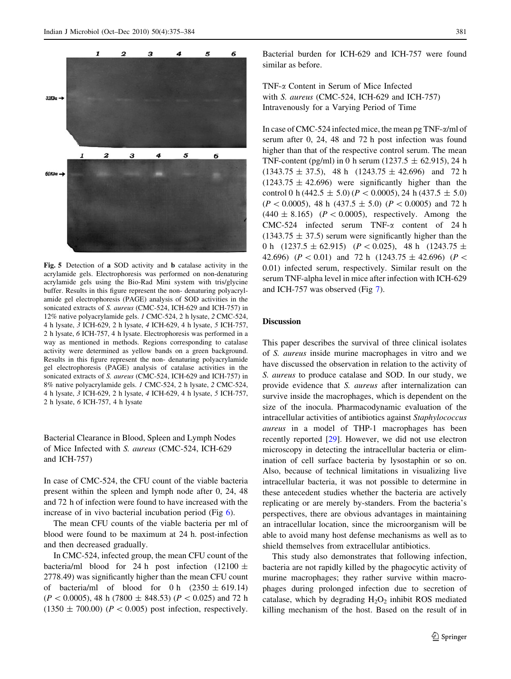

<span id="page-6-0"></span>

Fig. 5 Detection of a SOD activity and b catalase activity in the acrylamide gels. Electrophoresis was performed on non-denaturing acrylamide gels using the Bio-Rad Mini system with tris/glycine buffer. Results in this figure represent the non- denaturing polyacrylamide gel electrophoresis (PAGE) analysis of SOD activities in the sonicated extracts of S. aureus (CMC-524, ICH-629 and ICH-757) in 12% native polyacrylamide gels. 1 CMC-524, 2 h lysate, 2 CMC-524, 4 h lysate, 3 ICH-629, 2 h lysate, 4 ICH-629, 4 h lysate, 5 ICH-757, 2 h lysate, 6 ICH-757, 4 h lysate. Electrophoresis was performed in a way as mentioned in methods. Regions corresponding to catalase activity were determined as yellow bands on a green background. Results in this figure represent the non- denaturing polyacrylamide gel electrophoresis (PAGE) analysis of catalase activities in the sonicated extracts of S. aureus (CMC-524, ICH-629 and ICH-757) in 8% native polyacrylamide gels. 1 CMC-524, 2 h lysate, 2 CMC-524, 4 h lysate, 3 ICH-629, 2 h lysate, 4 ICH-629, 4 h lysate, 5 ICH-757, 2 h lysate, 6 ICH-757, 4 h lysate

Bacterial Clearance in Blood, Spleen and Lymph Nodes of Mice Infected with S. aureus (CMC-524, ICH-629 and ICH-757)

In case of CMC-524, the CFU count of the viable bacteria present within the spleen and lymph node after 0, 24, 48 and 72 h of infection were found to have increased with the increase of in vivo bacterial incubation period (Fig  $6$ ).

The mean CFU counts of the viable bacteria per ml of blood were found to be maximum at 24 h. post-infection and then decreased gradually.

In CMC-524, infected group, the mean CFU count of the bacteria/ml blood for 24 h post infection (12100  $\pm$ 2778.49) was significantly higher than the mean CFU count of bacteria/ml of blood for 0 h  $(2350 \pm 619.14)$  $(P< 0.0005)$ , 48 h (7800  $\pm$  848.53) (P < 0.025) and 72 h  $(1350 \pm 700.00)$  ( $P < 0.005$ ) post infection, respectively.

Bacterial burden for ICH-629 and ICH-757 were found similar as before.

TNF-a Content in Serum of Mice Infected with S. aureus (CMC-524, ICH-629 and ICH-757) Intravenously for a Varying Period of Time

In case of CMC-524 infected mice, the mean pg TNF-a/ml of serum after 0, 24, 48 and 72 h post infection was found higher than that of the respective control serum. The mean TNF-content (pg/ml) in 0 h serum (1237.5  $\pm$  62.915), 24 h  $(1343.75 \pm 37.5),$  48 h  $(1243.75 \pm 42.696)$  and 72 h  $(1243.75 \pm 42.696)$  were significantly higher than the control 0 h (442.5  $\pm$  5.0) ( $P < 0.0005$ ), 24 h (437.5  $\pm$  5.0)  $(P<0.0005)$ , 48 h (437.5  $\pm$  5.0) (P < 0.0005) and 72 h  $(440 \pm 8.165)$   $(P \lt 0.0005)$ , respectively. Among the CMC-524 infected serum TNF- $\alpha$  content of 24 h  $(1343.75 \pm 37.5)$  serum were significantly higher than the 0 h (1237.5  $\pm$  62.915) (P < 0.025), 48 h (1243.75  $\pm$ 42.696) ( $P < 0.01$ ) and 72 h (1243.75  $\pm$  42.696) ( $P <$ 0.01) infected serum, respectively. Similar result on the serum TNF-alpha level in mice after infection with ICH-629 and ICH-757 was observed (Fig [7\)](#page-8-0).

# Discussion

This paper describes the survival of three clinical isolates of S. aureus inside murine macrophages in vitro and we have discussed the observation in relation to the activity of S. aureus to produce catalase and SOD. In our study, we provide evidence that S. aureus after internalization can survive inside the macrophages, which is dependent on the size of the inocula. Pharmacodynamic evaluation of the intracellular activities of antibiotics against Staphylococcus aureus in a model of THP-1 macrophages has been recently reported [[29\]](#page-9-0). However, we did not use electron microscopy in detecting the intracellular bacteria or elimination of cell surface bacteria by lysostaphin or so on. Also, because of technical limitations in visualizing live intracellular bacteria, it was not possible to determine in these antecedent studies whether the bacteria are actively replicating or are merely by-standers. From the bacteria's perspectives, there are obvious advantages in maintaining an intracellular location, since the microorganism will be able to avoid many host defense mechanisms as well as to shield themselves from extracellular antibiotics.

This study also demonstrates that following infection, bacteria are not rapidly killed by the phagocytic activity of murine macrophages; they rather survive within macrophages during prolonged infection due to secretion of catalase, which by degrading  $H_2O_2$  inhibit ROS mediated killing mechanism of the host. Based on the result of in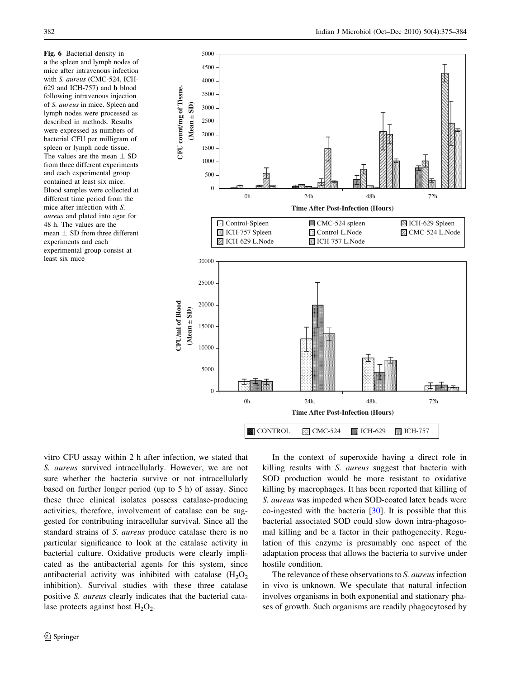<span id="page-7-0"></span>Fig. 6 Bacterial density in a the spleen and lymph nodes of mice after intravenous infection with S. aureus (CMC-524, ICH-629 and ICH-757) and b blood following intravenous injection of S. aureus in mice. Spleen and lymph nodes were processed as described in methods. Results were expressed as numbers of bacterial CFU per milligram of spleen or lymph node tissue. The values are the mean  $\pm$  SD from three different experiments and each experimental group contained at least six mice. Blood samples were collected at different time period from the mice after infection with S. aureus and plated into agar for 48 h. The values are the mean  $\pm$  SD from three different experiments and each experimental group consist at least six mice



vitro CFU assay within 2 h after infection, we stated that S. aureus survived intracellularly. However, we are not sure whether the bacteria survive or not intracellularly based on further longer period (up to 5 h) of assay. Since these three clinical isolates possess catalase-producing activities, therefore, involvement of catalase can be suggested for contributing intracellular survival. Since all the standard strains of S. aureus produce catalase there is no particular significance to look at the catalase activity in bacterial culture. Oxidative products were clearly implicated as the antibacterial agents for this system, since antibacterial activity was inhibited with catalase  $(H_2O_2)$ inhibition). Survival studies with these three catalase positive S. aureus clearly indicates that the bacterial catalase protects against host  $H_2O_2$ .

In the context of superoxide having a direct role in killing results with S. aureus suggest that bacteria with SOD production would be more resistant to oxidative killing by macrophages. It has been reported that killing of S. aureus was impeded when SOD-coated latex beads were co-ingested with the bacteria [\[30](#page-9-0)]. It is possible that this bacterial associated SOD could slow down intra-phagosomal killing and be a factor in their pathogenecity. Regulation of this enzyme is presumably one aspect of the adaptation process that allows the bacteria to survive under hostile condition.

The relevance of these observations to S. aureus infection in vivo is unknown. We speculate that natural infection involves organisms in both exponential and stationary phases of growth. Such organisms are readily phagocytosed by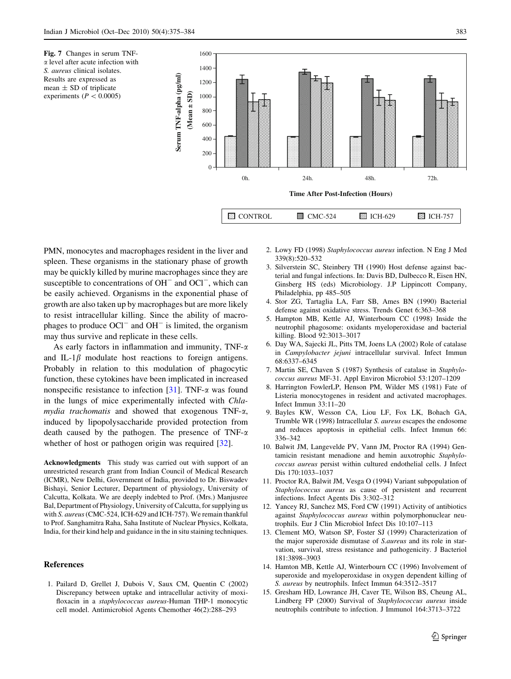<span id="page-8-0"></span>



PMN, monocytes and macrophages resident in the liver and spleen. These organisms in the stationary phase of growth may be quickly killed by murine macrophages since they are susceptible to concentrations of  $OH^-$  and  $OCl^-$ , which can be easily achieved. Organisms in the exponential phase of growth are also taken up by macrophages but are more likely to resist intracellular killing. Since the ability of macrophages to produce  $OCI^-$  and  $OH^-$  is limited, the organism may thus survive and replicate in these cells.

As early factors in inflammation and immunity, TNF- $\alpha$ and IL-1 $\beta$  modulate host reactions to foreign antigens. Probably in relation to this modulation of phagocytic function, these cytokines have been implicated in increased nonspecific resistance to infection  $[31]$  $[31]$ . TNF- $\alpha$  was found in the lungs of mice experimentally infected with Chlamydia trachomatis and showed that exogenous TNF- $\alpha$ , induced by lipopolysaccharide provided protection from death caused by the pathogen. The presence of TNF- $\alpha$ whether of host or pathogen origin was required [[32\]](#page-9-0).

Acknowledgments This study was carried out with support of an unrestricted research grant from Indian Council of Medical Research (ICMR), New Delhi, Government of India, provided to Dr. Biswadev Bishayi, Senior Lecturer, Department of physiology, University of Calcutta, Kolkata. We are deeply indebted to Prof. (Mrs.) Manjusree Bal, Department of Physiology, University of Calcutta, for supplying us with S. aureus (CMC-524, ICH-629 and ICH-757). We remain thankful to Prof. Sanghamitra Raha, Saha Institute of Nuclear Physics, Kolkata, India, for their kind help and guidance in the in situ staining techniques.

#### References

1. Pailard D, Grellet J, Dubois V, Saux CM, Quentin C (2002) Discrepancy between uptake and intracellular activity of moxifloxacin in a *staphylococcus aureus*-Human THP-1 monocytic cell model. Antimicrobiol Agents Chemother 46(2):288–293

- 2. Lowy FD (1998) Staphylococcus aureus infection. N Eng J Med 339(8):520–532
- 3. Silverstein SC, Steinbery TH (1990) Host defense against bacterial and fungal infections. In: Davis BD, Dulbecco R, Eisen HN, Ginsberg HS (eds) Microbiology. J.P Lippincott Company, Philadelphia, pp 485–505
- 4. Stor ZG, Tartaglia LA, Farr SB, Ames BN (1990) Bacterial defense against oxidative stress. Trends Genet 6:363–368
- 5. Hampton MB, Kettle AJ, Winterbourn CC (1998) Inside the neutrophil phagosome: oxidants myeloperoxidase and bacterial killing. Blood 92:3013–3017
- 6. Day WA, Sajecki JL, Pitts TM, Joens LA (2002) Role of catalase in Campylobacter jejuni intracellular survival. Infect Immun 68:6337–6345
- 7. Martin SE, Chaven S (1987) Synthesis of catalase in Staphylococcus aureus MF-31. Appl Environ Microbiol 53:1207–1209
- 8. Harrington FowlerLP, Henson PM, Wilder MS (1981) Fate of Listeria monocytogenes in resident and activated macrophages. Infect Immun 33:11–20
- 9. Bayles KW, Wesson CA, Liou LF, Fox LK, Bohach GA, Trumble WR (1998) Intracellular S. aureus escapes the endosome and reduces apoptosis in epithelial cells. Infect Immun 66: 336–342
- 10. Balwit JM, Langevelde PV, Vann JM, Proctor RA (1994) Gentamicin resistant menadione and hemin auxotrophic Staphylococcus aureus persist within cultured endothelial cells. J Infect Dis 170:1033–1037
- 11. Proctor RA, Balwit JM, Vesga O (1994) Variant subpopulation of Staphylococcus aureus as cause of persistent and recurrent infections. Infect Agents Dis 3:302–312
- 12. Yancey RJ, Sanchez MS, Ford CW (1991) Activity of antibiotics against Staphylococcus aureus within polymorphonuclear neutrophils. Eur J Clin Microbiol Infect Dis 10:107–113
- 13. Clement MO, Watson SP, Foster SJ (1999) Characterization of the major superoxide dismutase of S.aureus and its role in starvation, survival, stress resistance and pathogenicity. J Bacteriol 181:3898–3903
- 14. Hamton MB, Kettle AJ, Winterbourn CC (1996) Involvement of superoxide and myeloperoxidase in oxygen dependent killing of S. aureus by neutrophils. Infect Immun 64:3512–3517
- 15. Gresham HD, Lowrance JH, Caver TE, Wilson BS, Cheung AL, Lindberg FP (2000) Survival of Staphylococcus aureus inside neutrophils contribute to infection. J Immunol 164:3713–3722